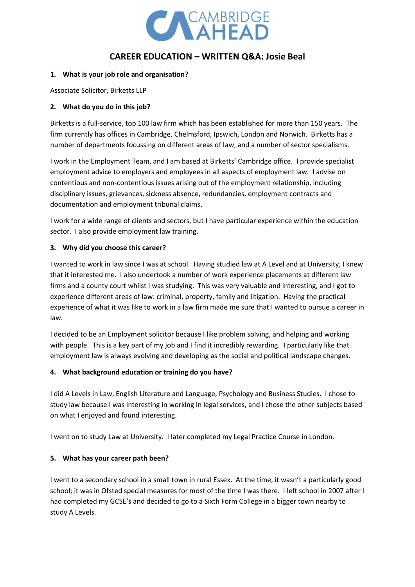

# **CAREER EDUCATION – WRITTEN Q&A: Josie Beal**

### **1. What is your job role and organisation?**

Associate Solicitor, Birketts LLP

### **2. What do you do in this job?**

Birketts is a full-service, top 100 law firm which has been established for more than 150 years. The firm currently has offices in Cambridge, Chelmsford, Ipswich, London and Norwich. Birketts has a number of departments focussing on different areas of law, and a number of sector specialisms.

I work in the Employment Team, and I am based at Birketts' Cambridge office. I provide specialist employment advice to employers and employees in all aspects of employment law. I advise on contentious and non-contentious issues arising out of the employment relationship, including disciplinary issues, grievances, sickness absence, redundancies, employment contracts and documentation and employment tribunal claims.

I work for a wide range of clients and sectors, but I have particular experience within the education sector. I also provide employment law training.

### **3. Why did you choose this career?**

I wanted to work in law since I was at school. Having studied law at A Level and at University, I knew that it interested me. I also undertook a number of work experience placements at different law firms and a county court whilst I was studying. This was very valuable and interesting, and I got to experience different areas of law: criminal, property, family and litigation. Having the practical experience of what it was like to work in a law firm made me sure that I wanted to pursue a career in law.

I decided to be an Employment solicitor because I like problem solving, and helping and working with people. This is a key part of my job and I find it incredibly rewarding. I particularly like that employment law is always evolving and developing as the social and political landscape changes.

# **4. What background education or training do you have?**

I did A Levels in Law, English Literature and Language, Psychology and Business Studies. I chose to study law because I was interesting in working in legal services, and I chose the other subjects based on what I enjoyed and found interesting.

I went on to study Law at University. I later completed my Legal Practice Course in London.

# **5. What has your career path been?**

I went to a secondary school in a small town in rural Essex. At the time, it wasn't a particularly good school; it was in Ofsted special measures for most of the time I was there. I left school in 2007 after I had completed my GCSE's and decided to go to a Sixth Form College in a bigger town nearby to study A Levels.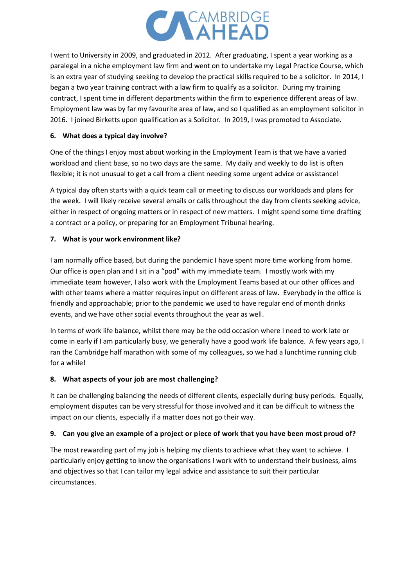

I went to University in 2009, and graduated in 2012. After graduating, I spent a year working as a paralegal in a niche employment law firm and went on to undertake my Legal Practice Course, which is an extra year of studying seeking to develop the practical skills required to be a solicitor. In 2014, I began a two year training contract with a law firm to qualify as a solicitor. During my training contract, I spent time in different departments within the firm to experience different areas of law. Employment law was by far my favourite area of law, and so I qualified as an employment solicitor in 2016. I joined Birketts upon qualification as a Solicitor. In 2019, I was promoted to Associate.

# **6. What does a typical day involve?**

One of the things I enjoy most about working in the Employment Team is that we have a varied workload and client base, so no two days are the same. My daily and weekly to do list is often flexible; it is not unusual to get a call from a client needing some urgent advice or assistance!

A typical day often starts with a quick team call or meeting to discuss our workloads and plans for the week. I will likely receive several emails or calls throughout the day from clients seeking advice, either in respect of ongoing matters or in respect of new matters. I might spend some time drafting a contract or a policy, or preparing for an Employment Tribunal hearing.

# **7. What is your work environment like?**

I am normally office based, but during the pandemic I have spent more time working from home. Our office is open plan and I sit in a "pod" with my immediate team. I mostly work with my immediate team however, I also work with the Employment Teams based at our other offices and with other teams where a matter requires input on different areas of law. Everybody in the office is friendly and approachable; prior to the pandemic we used to have regular end of month drinks events, and we have other social events throughout the year as well.

In terms of work life balance, whilst there may be the odd occasion where I need to work late or come in early if I am particularly busy, we generally have a good work life balance. A few years ago, I ran the Cambridge half marathon with some of my colleagues, so we had a lunchtime running club for a while!

# **8. What aspects of your job are most challenging?**

It can be challenging balancing the needs of different clients, especially during busy periods. Equally, employment disputes can be very stressful for those involved and it can be difficult to witness the impact on our clients, especially if a matter does not go their way.

# **9. Can you give an example of a project or piece of work that you have been most proud of?**

The most rewarding part of my job is helping my clients to achieve what they want to achieve. I particularly enjoy getting to know the organisations I work with to understand their business, aims and objectives so that I can tailor my legal advice and assistance to suit their particular circumstances.